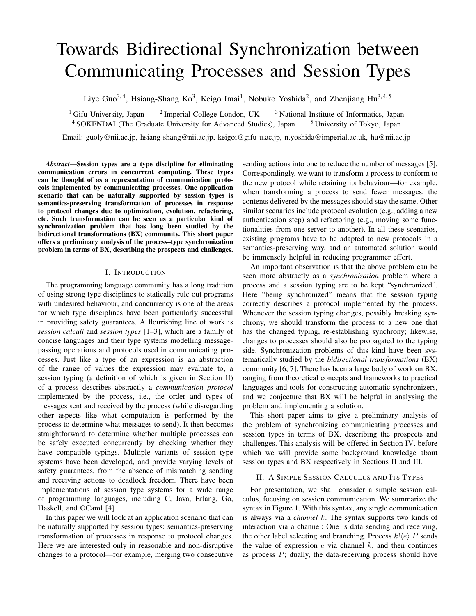# Towards Bidirectional Synchronization between Communicating Processes and Session Types

Liye Guo<sup>3,4</sup>, Hsiang-Shang Ko<sup>3</sup>, Keigo Imai<sup>1</sup>, Nobuko Yoshida<sup>2</sup>, and Zhenjiang Hu<sup>3,4,5</sup>

<sup>1</sup> Gifu University, Japan  $\frac{2}{}$  Imperial College London, UK  $3$  National Institute of Informatics, Japan <sup>4</sup> SOKENDAI (The Graduate University for Advanced Studies), Japan <sup>5</sup> University of Tokyo, Japan

Email: guoly@nii.ac.jp, hsiang-shang@nii.ac.jp, keigoi@gifu-u.ac.jp, n.yoshida@imperial.ac.uk, hu@nii.ac.jp

*Abstract*—Session types are a type discipline for eliminating communication errors in concurrent computing. These types can be thought of as a representation of communication protocols implemented by communicating processes. One application scenario that can be naturally supported by session types is semantics-preserving transformation of processes in response to protocol changes due to optimization, evolution, refactoring, etc. Such transformation can be seen as a particular kind of synchronization problem that has long been studied by the bidirectional transformations (BX) community. This short paper offers a preliminary analysis of the process–type synchronization problem in terms of BX, describing the prospects and challenges.

### I. INTRODUCTION

The programming language community has a long tradition of using strong type disciplines to statically rule out programs with undesired behaviour, and concurrency is one of the areas for which type disciplines have been particularly successful in providing safety guarantees. A flourishing line of work is *session calculi* and *session types* [\[1](#page-4-0)[–3\]](#page-4-1), which are a family of concise languages and their type systems modelling messagepassing operations and protocols used in communicating processes. Just like a type of an expression is an abstraction of the range of values the expression may evaluate to, a session typing (a definition of which is given in [Section II\)](#page-0-0) of a process describes abstractly a *communication protocol* implemented by the process, i.e., the order and types of messages sent and received by the process (while disregarding other aspects like what computation is performed by the process to determine what messages to send). It then becomes straightforward to determine whether multiple processes can be safely executed concurrently by checking whether they have compatible typings. Multiple variants of session type systems have been developed, and provide varying levels of safety guarantees, from the absence of mismatching sending and receiving actions to deadlock freedom. There have been implementations of session type systems for a wide range of programming languages, including C, Java, Erlang, Go, Haskell, and OCaml [\[4\]](#page-4-2).

In this paper we will look at an application scenario that can be naturally supported by session types: semantics-preserving transformation of processes in response to protocol changes. Here we are interested only in reasonable and non-disruptive changes to a protocol—for example, merging two consecutive sending actions into one to reduce the number of messages [\[5\]](#page-4-3). Correspondingly, we want to transform a process to conform to the new protocol while retaining its behaviour—for example, when transforming a process to send fewer messages, the contents delivered by the messages should stay the same. Other similar scenarios include protocol evolution (e.g., adding a new authentication step) and refactoring (e.g., moving some functionalities from one server to another). In all these scenarios, existing programs have to be adapted to new protocols in a semantics-preserving way, and an automated solution would be immensely helpful in reducing programmer effort.

An important observation is that the above problem can be seen more abstractly as a *synchronization* problem where a process and a session typing are to be kept "synchronized". Here "being synchronized" means that the session typing correctly describes a protocol implemented by the process. Whenever the session typing changes, possibly breaking synchrony, we should transform the process to a new one that has the changed typing, re-establishing synchrony; likewise, changes to processes should also be propagated to the typing side. Synchronization problems of this kind have been systematically studied by the *bidirectional transformations* (BX) community [\[6,](#page-4-4) [7\]](#page-4-5). There has been a large body of work on BX, ranging from theoretical concepts and frameworks to practical languages and tools for constructing automatic synchronizers, and we conjecture that BX will be helpful in analysing the problem and implementing a solution.

This short paper aims to give a preliminary analysis of the problem of synchronizing communicating processes and session types in terms of BX, describing the prospects and challenges. This analysis will be offered in [Section IV,](#page-2-0) before which we will provide some background knowledge about session types and BX respectively in Sections [II](#page-0-0) and [III.](#page-2-1)

#### <span id="page-0-0"></span>II. A SIMPLE SESSION CALCULUS AND ITS TYPES

For presentation, we shall consider a simple session calculus, focusing on session communication. We summarize the syntax in [Figure 1.](#page-1-0) With this syntax, any single communication is always via a *channel* k. The syntax supports two kinds of interaction via a channel: One is data sending and receiving, the other label selecting and branching. Process  $k! \langle e \rangle$ . P sends the value of expression  $e$  via channel  $k$ , and then continues as process  $P$ ; dually, the data-receiving process should have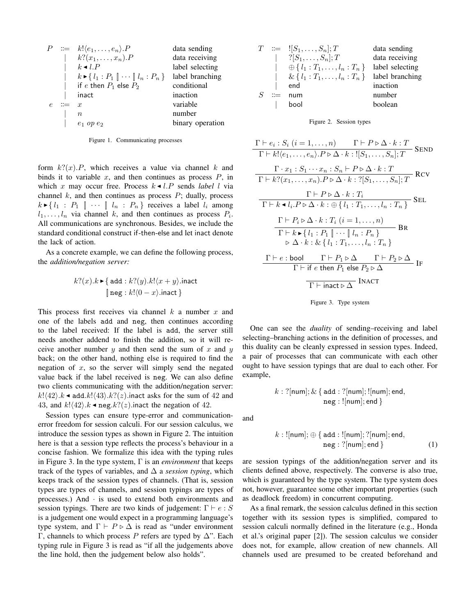| $P$ | :=                                          | $k! \langle e_1, \ldots, e_n \rangle$ . $P$ | data sending |
|-----|---------------------------------------------|---------------------------------------------|--------------|
| $ $ | $k^2(x_1, \ldots, x_n)$ . $P$               | data receiving                              |              |
| $ $ | $k \cdot l$ . $P$                           | label selecting                             |              |
| $ $ | $k \cdot l_1 : P_1   \cdots   l_n : P_n \}$ | label branching                             |              |
| $ $ | $i$                                         | to the                                      |              |
| $ $ | $i$                                         | to the                                      |              |
| $e$ | $\therefore$                                | $x$                                         | variable     |
| $ $ | $n$                                         | number                                      |              |
| $ $ | $e_1$ $op \, e_2$                           | binary operation                            |              |

<span id="page-1-0"></span>Figure 1. Communicating processes

form  $k?(x).P$ , which receives a value via channel k and binds it to variable  $x$ , and then continues as process  $P$ , in which x may occur free. Process  $k \triangleleft l.P$  sends *label* l via channel  $k$ , and then continues as process  $P$ ; dually, process  $k \triangleright \{l_1 : P_1 \parallel \cdots \parallel l_n : P_n \}$  receives a label  $l_i$  among  $l_1, \ldots, l_n$  via channel k, and then continues as process  $P_i$ . All communications are synchronous. Besides, we include the standard conditional construct if-then-else and let inact denote the lack of action.

As a concrete example, we can define the following process, the *addition/negation server:*

$$
k?(x).k \blacktriangleright \{\text{add}: k?(y).k! \langle x + y \rangle.\text{inact} \}
$$

$$
\parallel \text{neg}: k! \langle 0 - x \rangle.\text{inact} \}
$$

This process first receives via channel  $k$  a number  $x$  and one of the labels add and neg, then continues according to the label received: If the label is add, the server still needs another addend to finish the addition, so it will receive another number y and then send the sum of x and y back; on the other hand, nothing else is required to find the negation of  $x$ , so the server will simply send the negated value back if the label received is neg. We can also define two clients communicating with the addition/negation server:  $k! \langle 42 \rangle \cdot k \triangleleft \{ add \cdot k! \langle 43 \rangle \cdot k? \langle z \rangle \}$ . inact asks for the sum of 42 and 43, and  $k! \langle 42 \rangle \cdot k \triangleleft n$  neg. $k? \langle z \rangle$ . inact the negation of 42.

Session types can ensure type-error and communicationerror freedom for session calculi. For our session calculus, we introduce the session types as shown in [Figure 2.](#page-1-1) The intuition here is that a session type reflects the process's behaviour in a concise fashion. We formalize this idea with the typing rules in [Figure 3.](#page-1-2) In the type system, Γ is an *environment* that keeps track of the types of variables, and  $\Delta$  a *session typing*, which keeps track of the session types of channels. (That is, session types are types of channels, and session typings are types of processes.) And  $\cdot$  is used to extend both environments and session typings. There are two kinds of judgement:  $\Gamma \vdash e : S$ is a judgement one would expect in a programming language's type system, and  $\Gamma \vdash P \triangleright \Delta$  is read as "under environment" Γ, channels to which process P refers are typed by  $\Delta$ ". Each typing rule in [Figure 3](#page-1-2) is read as "if all the judgements above the line hold, then the judgement below also holds".

| $T$                                                                                                                                                                                                | ::=     | $[S_1, \ldots, S_n]$ ; $T$ | data sending |
|----------------------------------------------------------------------------------------------------------------------------------------------------------------------------------------------------|---------|----------------------------|--------------|
| $\begin{array}{rcl}\n & ?[S_1, \ldots, S_n]; T \\ & \oplus \{l_1 : T_1, \ldots, l_n : T_n\} \\ & \& \{l_1 : T_1, \ldots, l_n : T_n\} \\ & \text{label branching} \\ & \text{end}\n \end{array}$ \n |         |                            |              |
| $S$                                                                                                                                                                                                | ::=     | num                        | number       |
| $ $ bool                                                                                                                                                                                           | boolean |                            |              |

#### <span id="page-1-1"></span>Figure 2. Session types

$$
\frac{\Gamma \vdash e_i : S_i (i = 1, ..., n) \qquad \Gamma \vdash P \triangleright \Delta \cdot k : T}{\Gamma \vdash k! \langle e_1, ..., e_n \rangle \cdot P \triangleright \Delta \cdot k : [[S_1, ..., S_n]; T \qquad \text{SEND}
$$
\n
$$
\frac{\Gamma \cdot x_1 : S_1 \cdots x_n : S_n \vdash P \triangleright \Delta \cdot k : T}{\Gamma \vdash k? \langle x_1, ..., x_n \rangle \cdot P \triangleright \Delta \cdot k : ?[S_1, ..., S_n]; T} \text{RCV}
$$
\n
$$
\frac{\Gamma \vdash P \triangleright \Delta \cdot k : T_i}{\Gamma \vdash k \blacktriangle l_i \cdot P \triangleright \Delta \cdot k : \bigcirc \{ l_1 : T_1, ..., l_n : T_n \} } \text{SEL}
$$
\n
$$
\frac{\Gamma \vdash P_i \triangleright \Delta \cdot k : T_i (i = 1, ..., n)}{\Gamma \vdash k \blacktriangleright \{ l_1 : P_1 \mid \dots \mid l_n : P_n \} } \text{BR}
$$
\n
$$
\triangleright \Delta \cdot k : \& \{ l_1 : T_1, ..., l_n : T_n \}
$$
\n
$$
\frac{\Gamma \vdash e : \text{bool} \qquad \Gamma \vdash P_1 \triangleright \Delta \qquad \Gamma \vdash P_2 \triangleright \Delta}{\Gamma \vdash \text{if } e \text{ then } P_1 \text{ else } P_2 \triangleright \Delta} } \text{IF}
$$
\n
$$
\frac{\Gamma \vdash e : \text{bool} \qquad \Gamma \vdash P_1 \triangleright \Delta}{\Gamma \vdash \text{inact} \triangleright \Delta} \text{INACT}
$$

<span id="page-1-2"></span>

One can see the *duality* of sending–receiving and label selecting–branching actions in the definition of processes, and this duality can be cleanly expressed in session types. Indeed, a pair of processes that can communicate with each other ought to have session typings that are dual to each other. For example,

$$
k: ?[num]; \& \{ add: ?[num]; ![num]; end, \\neg: ![num]; end \}
$$

and

<span id="page-1-3"></span>
$$
k:![num]; \oplus \{ add:![num]; ?[num]; end, neg: ?[num]; end \}
$$
 (1)

are session typings of the addition/negation server and its clients defined above, respectively. The converse is also true, which is guaranteed by the type system. The type system does not, however, guarantee some other important properties (such as deadlock freedom) in concurrent computing.

As a final remark, the session calculus defined in this section together with its session types is simplified, compared to session calculi normally defined in the literature (e.g., Honda et al.'s original paper [\[2\]](#page-4-6)). The session calculus we consider does not, for example, allow creation of new channels. All channels used are presumed to be created beforehand and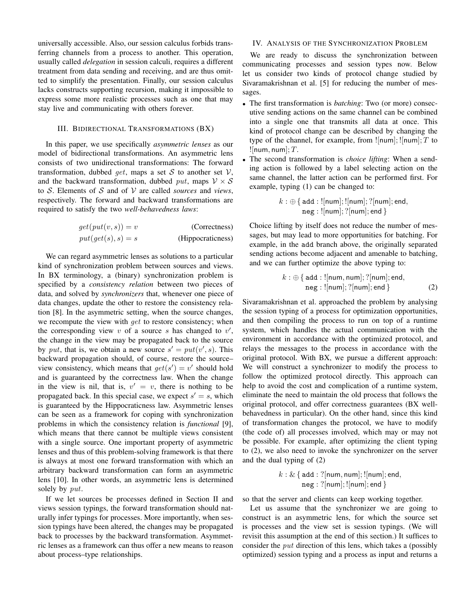universally accessible. Also, our session calculus forbids transferring channels from a process to another. This operation, usually called *delegation* in session calculi, requires a different treatment from data sending and receiving, and are thus omitted to simplify the presentation. Finally, our session calculus lacks constructs supporting recursion, making it impossible to express some more realistic processes such as one that may stay live and communicating with others forever.

## III. BIDIRECTIONAL TRANSFORMATIONS (BX)

<span id="page-2-1"></span>In this paper, we use specifically *asymmetric lenses* as our model of bidirectional transformations. An asymmetric lens consists of two unidirectional transformations: The forward transformation, dubbed *get*, maps a set S to another set V, and the backward transformation, dubbed put, maps  $V \times S$ to S. Elements of S and of V are called *sources* and *views*, respectively. The forward and backward transformations are required to satisfy the two *well-behavedness laws*:

$$
get(put(v, s)) = v
$$
 (Correctness)  

$$
put(get(s), s) = s
$$
 (Hippocratiness)

We can regard asymmetric lenses as solutions to a particular kind of synchronization problem between sources and views. In BX terminology, a (binary) synchronization problem is specified by a *consistency relation* between two pieces of data, and solved by *synchronizers* that, whenever one piece of data changes, update the other to restore the consistency relation [\[8\]](#page-4-7). In the asymmetric setting, when the source changes, we recompute the view with  $get$  to restore consistency; when the corresponding view  $v$  of a source  $s$  has changed to  $v'$ , the change in the view may be propagated back to the source by put, that is, we obtain a new source  $s' = put(v', s)$ . This backward propagation should, of course, restore the source– view consistency, which means that  $get(s') = v'$  should hold and is guaranteed by the correctness law. When the change in the view is nil, that is,  $v' = v$ , there is nothing to be propagated back. In this special case, we expect  $s' = s$ , which is guaranteed by the Hippocraticness law. Asymmetric lenses can be seen as a framework for coping with synchronization problems in which the consistency relation is *functional* [\[9\]](#page-4-8), which means that there cannot be multiple views consistent with a single source. One important property of asymmetric lenses and thus of this problem-solving framework is that there is always at most one forward transformation with which an arbitrary backward transformation can form an asymmetric lens [\[10\]](#page-4-9). In other words, an asymmetric lens is determined solely by put.

If we let sources be processes defined in [Section II](#page-0-0) and views session typings, the forward transformation should naturally infer typings for processes. More importantly, when session typings have been altered, the changes may be propagated back to processes by the backward transformation. Asymmetric lenses as a framework can thus offer a new means to reason about process–type relationships.

# <span id="page-2-0"></span>IV. ANALYSIS OF THE SYNCHRONIZATION PROBLEM

We are ready to discuss the synchronization between communicating processes and session types now. Below let us consider two kinds of protocol change studied by Sivaramakrishnan et al. [\[5\]](#page-4-3) for reducing the number of messages.

- The first transformation is *batching*: Two (or more) consecutive sending actions on the same channel can be combined into a single one that transmits all data at once. This kind of protocol change can be described by changing the type of the channel, for example, from  $\lim_{n \to \infty}$  :  $\lim_{n \to \infty}$  to  $!$ [num, num]; T.
- The second transformation is *choice lifting*: When a sending action is followed by a label selecting action on the same channel, the latter action can be performed first. For example, typing [\(1\)](#page-1-3) can be changed to:

$$
k: \oplus \{ \text{ add} : ![num]; ![num]; ?[num]; \text{end}, \\neg : ![num]; ?[num]; \text{end} \}
$$

Choice lifting by itself does not reduce the number of messages, but may lead to more opportunities for batching. For example, in the add branch above, the originally separated sending actions become adjacent and amenable to batching, and we can further optimize the above typing to:

<span id="page-2-2"></span>
$$
k: \oplus \{ \text{ add} : ![num, num]; ?[num]; \text{end},
$$
  
neg : ![num]; ?[num]; end \n(2)

Sivaramakrishnan et al. approached the problem by analysing the session typing of a process for optimization opportunities, and then compiling the process to run on top of a runtime system, which handles the actual communication with the environment in accordance with the optimized protocol, and relays the messages to the process in accordance with the original protocol. With BX, we pursue a different approach: We will construct a synchronizer to modify the process to follow the optimized protocol directly. This approach can help to avoid the cost and complication of a runtime system, eliminate the need to maintain the old process that follows the original protocol, and offer correctness guarantees (BX wellbehavedness in particular). On the other hand, since this kind of transformation changes the protocol, we have to modify (the code of) all processes involved, which may or may not be possible. For example, after optimizing the client typing to [\(2\)](#page-2-2), we also need to invoke the synchronizer on the server and the dual typing of [\(2\)](#page-2-2)

$$
k: \& \{ add: ?[num, num]; ![num]; end, \newline neg: ?[num]; ![num]; end \}
$$

so that the server and clients can keep working together.

Let us assume that the synchronizer we are going to construct is an asymmetric lens, for which the source set is processes and the view set is session typings. (We will revisit this assumption at the end of this section.) It suffices to consider the put direction of this lens, which takes a (possibly optimized) session typing and a process as input and returns a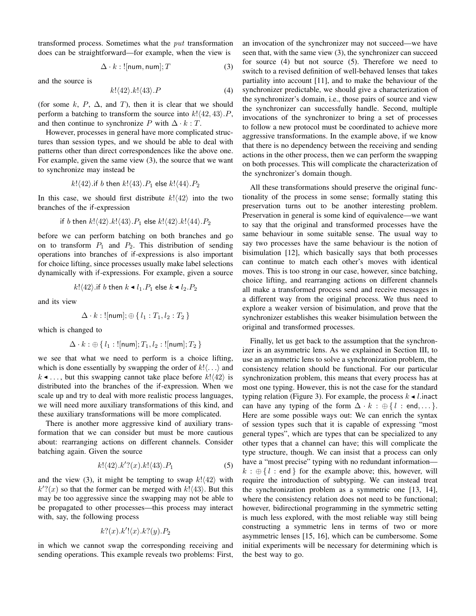transformed process. Sometimes what the put transformation does can be straightforward—for example, when the view is

<span id="page-3-0"></span>
$$
\Delta \cdot k : [[num, num]; T \tag{3}
$$

and the source is

<span id="page-3-1"></span>
$$
k!\langle 42 \rangle.k!\langle 43 \rangle.P \tag{4}
$$

(for some k, P,  $\Delta$ , and T), then it is clear that we should perform a batching to transform the source into  $k! \langle 42, 43 \rangle \cdot P$ , and then continue to synchronize P with  $\Delta \cdot k : T$ .

However, processes in general have more complicated structures than session types, and we should be able to deal with patterns other than direct correspondences like the above one. For example, given the same view [\(3\)](#page-3-0), the source that we want to synchronize may instead be

$$
k! \langle 42 \rangle
$$
.  
if *b* then  $k! \langle 43 \rangle P_1$  else  $k! \langle 44 \rangle P_2$ 

In this case, we should first distribute  $k! \langle 42 \rangle$  into the two branches of the if-expression

if *b* then 
$$
k! \langle 42 \rangle.k! \langle 43 \rangle.P_1
$$
 else  $k! \langle 42 \rangle.k! \langle 44 \rangle.P_2$ 

before we can perform batching on both branches and go on to transform  $P_1$  and  $P_2$ . This distribution of sending operations into branches of if-expressions is also important for choice lifting, since processes usually make label selections dynamically with if-expressions. For example, given a source

$$
k! \langle 42 \rangle
$$
.  
if *b* then  $k \triangleleft l_1.P_1$  else  $k \triangleleft l_2.P_2$ 

and its view

$$
\Delta \cdot k : ![num]; \oplus \{l_1 : T_1, l_2 : T_2\}
$$

which is changed to

$$
\Delta \cdot k : \oplus \{l_1 : ![\mathsf{num}]; T_1, l_2 : ![\mathsf{num}]; T_2\}
$$

we see that what we need to perform is a choice lifting, which is done essentially by swapping the order of  $k! \langle \ldots \rangle$  and  $k \blacktriangleleft$ ..., but this swapping cannot take place before  $k!/42\rangle$  is distributed into the branches of the if-expression. When we scale up and try to deal with more realistic process languages, we will need more auxiliary transformations of this kind, and these auxiliary transformations will be more complicated.

There is another more aggressive kind of auxiliary transformation that we can consider but must be more cautious about: rearranging actions on different channels. Consider batching again. Given the source

<span id="page-3-2"></span>
$$
k!\langle 42 \rangle.k' ?(x).k!\langle 43 \rangle.P_1 \tag{5}
$$

and the view [\(3\)](#page-3-0), it might be tempting to swap  $k! \langle 42 \rangle$  with  $k'(x)$  so that the former can be merged with  $k'\langle 43 \rangle$ . But this may be too aggressive since the swapping may not be able to be propagated to other processes—this process may interact with, say, the following process

$$
k?(x).k'!\langle x\rangle.k?(y).P_2
$$

in which we cannot swap the corresponding receiving and sending operations. This example reveals two problems: First, an invocation of the synchronizer may not succeed—we have seen that, with the same view [\(3\)](#page-3-0), the synchronizer can succeed for source [\(4\)](#page-3-1) but not source [\(5\)](#page-3-2). Therefore we need to switch to a revised definition of well-behaved lenses that takes partiality into account [\[11\]](#page-4-10), and to make the behaviour of the synchronizer predictable, we should give a characterization of the synchronizer's domain, i.e., those pairs of source and view the synchronizer can successfully handle. Second, multiple invocations of the synchronizer to bring a set of processes to follow a new protocol must be coordinated to achieve more aggressive transformations. In the example above, if we know that there is no dependency between the receiving and sending actions in the other process, then we can perform the swapping on both processes. This will complicate the characterization of the synchronizer's domain though.

All these transformations should preserve the original functionality of the process in some sense; formally stating this preservation turns out to be another interesting problem. Preservation in general is some kind of equivalence—we want to say that the original and transformed processes have the same behaviour in some suitable sense. The usual way to say two processes have the same behaviour is the notion of bisimulation [\[12\]](#page-4-11), which basically says that both processes can continue to match each other's moves with identical moves. This is too strong in our case, however, since batching, choice lifting, and rearranging actions on different channels all make a transformed process send and receive messages in a different way from the original process. We thus need to explore a weaker version of bisimulation, and prove that the synchronizer establishes this weaker bisimulation between the original and transformed processes.

Finally, let us get back to the assumption that the synchronizer is an asymmetric lens. As we explained in [Section III,](#page-2-1) to use an asymmetric lens to solve a synchronization problem, the consistency relation should be functional. For our particular synchronization problem, this means that every process has at most one typing. However, this is not the case for the standard typing relation [\(Figure 3\)](#page-1-2). For example, the process  $k \triangleleft l$  linact can have any typing of the form  $\Delta \cdot k : \oplus \{l : \text{end}, \dots\}.$ Here are some possible ways out: We can enrich the syntax of session types such that it is capable of expressing "most general types", which are types that can be specialized to any other types that a channel can have; this will complicate the type structure, though. We can insist that a process can only have a "most precise" typing with no redundant information  $k : \bigoplus \{l : \text{end}\}\$  for the example above; this, however, will require the introduction of subtyping. We can instead treat the synchronization problem as a symmetric one [\[13,](#page-4-12) [14\]](#page-4-13), where the consistency relation does not need to be functional; however, bidirectional programming in the symmetric setting is much less explored, with the most reliable way still being constructing a symmetric lens in terms of two or more asymmetric lenses [\[15,](#page-4-14) [16\]](#page-4-15), which can be cumbersome. Some initial experiments will be necessary for determining which is the best way to go.